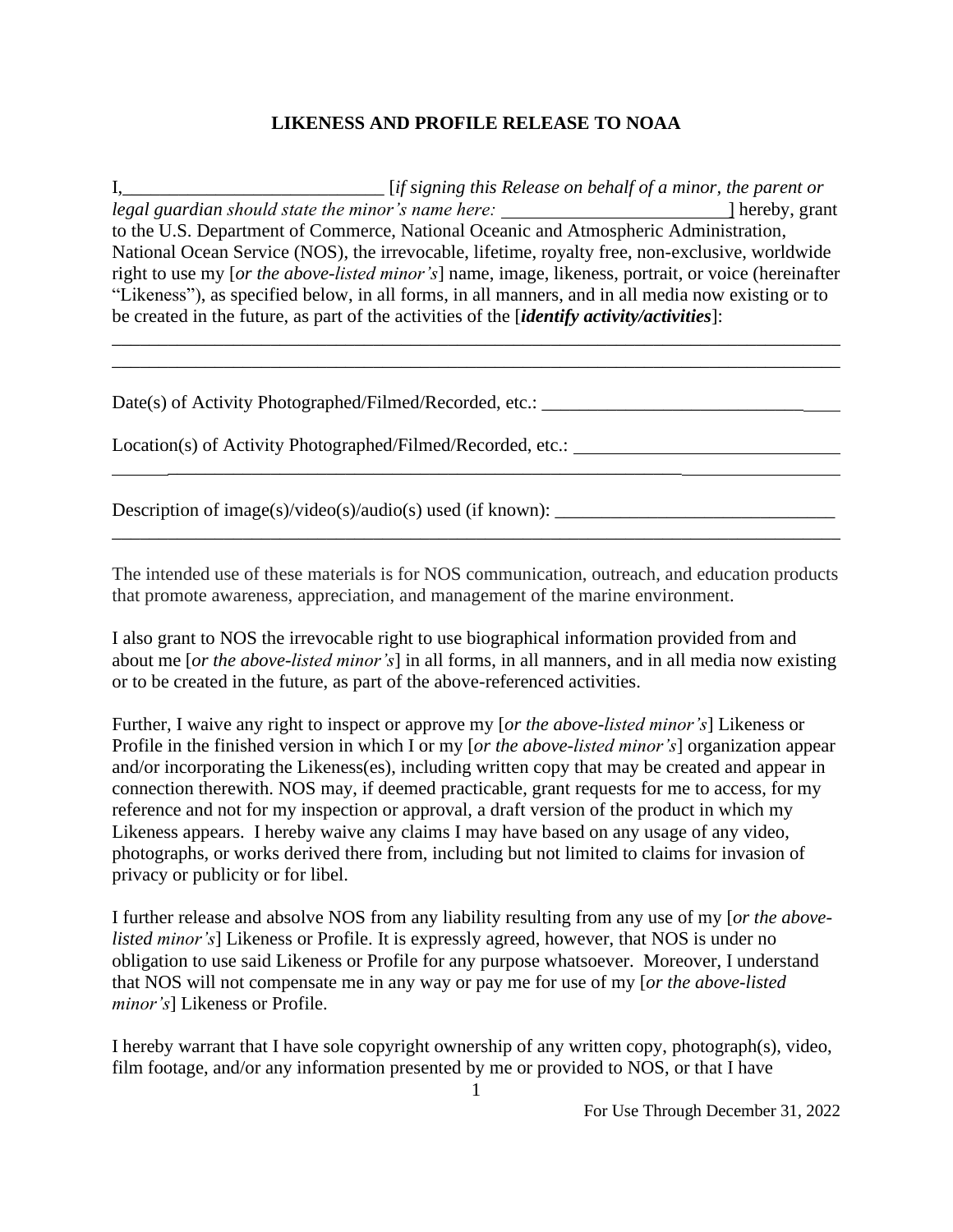## **LIKENESS AND PROFILE RELEASE TO NOAA**

I,\_\_\_\_\_\_\_\_\_\_\_\_\_\_\_\_\_\_\_\_\_\_\_\_\_\_\_\_ [*if signing this Release on behalf of a minor, the parent or legal guardian should state the minor's name here:* ] hereby, grant to the U.S. Department of Commerce, National Oceanic and Atmospheric Administration, National Ocean Service (NOS), the irrevocable, lifetime, royalty free, non-exclusive, worldwide right to use my [*or the above-listed minor's*] name, image, likeness, portrait, or voice (hereinafter "Likeness"), as specified below, in all forms, in all manners, and in all media now existing or to be created in the future, as part of the activities of the [*identify activity/activities*]:

\_\_\_\_\_\_\_\_\_\_\_\_\_\_\_\_\_\_\_\_\_\_\_\_\_\_\_\_\_\_\_\_\_\_\_\_\_\_\_\_\_\_\_\_\_\_\_\_\_\_\_\_\_\_\_\_\_\_\_\_\_\_\_\_\_\_\_\_\_\_\_\_\_\_\_\_\_\_ \_\_\_\_\_\_\_\_\_\_\_\_\_\_\_\_\_\_\_\_\_\_\_\_\_\_\_\_\_\_\_\_\_\_\_\_\_\_\_\_\_\_\_\_\_\_\_\_\_\_\_\_\_\_\_\_\_\_\_\_\_\_\_\_\_\_\_\_\_\_\_\_\_\_\_\_\_\_

Date(s) of Activity Photographed/Filmed/Recorded, etc.: \_\_\_\_\_\_\_\_\_\_\_\_\_\_\_\_\_\_\_\_\_\_\_\_\_

Location(s) of Activity Photographed/Filmed/Recorded, etc.: \_\_\_\_\_\_\_\_\_\_\_\_\_\_\_\_\_\_\_\_\_

Description of image(s)/video(s)/audio(s) used (if known):  $\frac{1}{\sqrt{1-\frac{1}{n}}}\left| \frac{f(x,y)}{g(y)} \right|$ 

The intended use of these materials is for NOS communication, outreach, and education products that promote awareness, appreciation, and management of the marine environment.

\_\_\_\_\_\_\_\_\_\_\_\_\_\_\_\_\_\_\_\_\_\_\_\_\_\_\_\_\_\_\_\_\_\_\_\_\_\_\_\_\_\_\_\_\_\_\_\_\_\_\_\_\_\_\_\_\_\_\_\_\_\_\_\_\_\_\_\_\_\_\_\_\_\_\_\_\_\_

 $\mathcal{L}_\text{max}$  and  $\mathcal{L}_\text{max}$  and  $\mathcal{L}_\text{max}$  and  $\mathcal{L}_\text{max}$  and  $\mathcal{L}_\text{max}$  and  $\mathcal{L}_\text{max}$ 

I also grant to NOS the irrevocable right to use biographical information provided from and about me [*or the above-listed minor's*] in all forms, in all manners, and in all media now existing or to be created in the future, as part of the above-referenced activities.

Further, I waive any right to inspect or approve my [*or the above-listed minor's*] Likeness or Profile in the finished version in which I or my [*or the above-listed minor's*] organization appear and/or incorporating the Likeness(es), including written copy that may be created and appear in connection therewith. NOS may, if deemed practicable, grant requests for me to access, for my reference and not for my inspection or approval, a draft version of the product in which my Likeness appears. I hereby waive any claims I may have based on any usage of any video, photographs, or works derived there from, including but not limited to claims for invasion of privacy or publicity or for libel.

I further release and absolve NOS from any liability resulting from any use of my [*or the abovelisted minor's*] Likeness or Profile. It is expressly agreed, however, that NOS is under no obligation to use said Likeness or Profile for any purpose whatsoever. Moreover, I understand that NOS will not compensate me in any way or pay me for use of my [*or the above-listed minor's*] Likeness or Profile.

I hereby warrant that I have sole copyright ownership of any written copy, photograph(s), video, film footage, and/or any information presented by me or provided to NOS, or that I have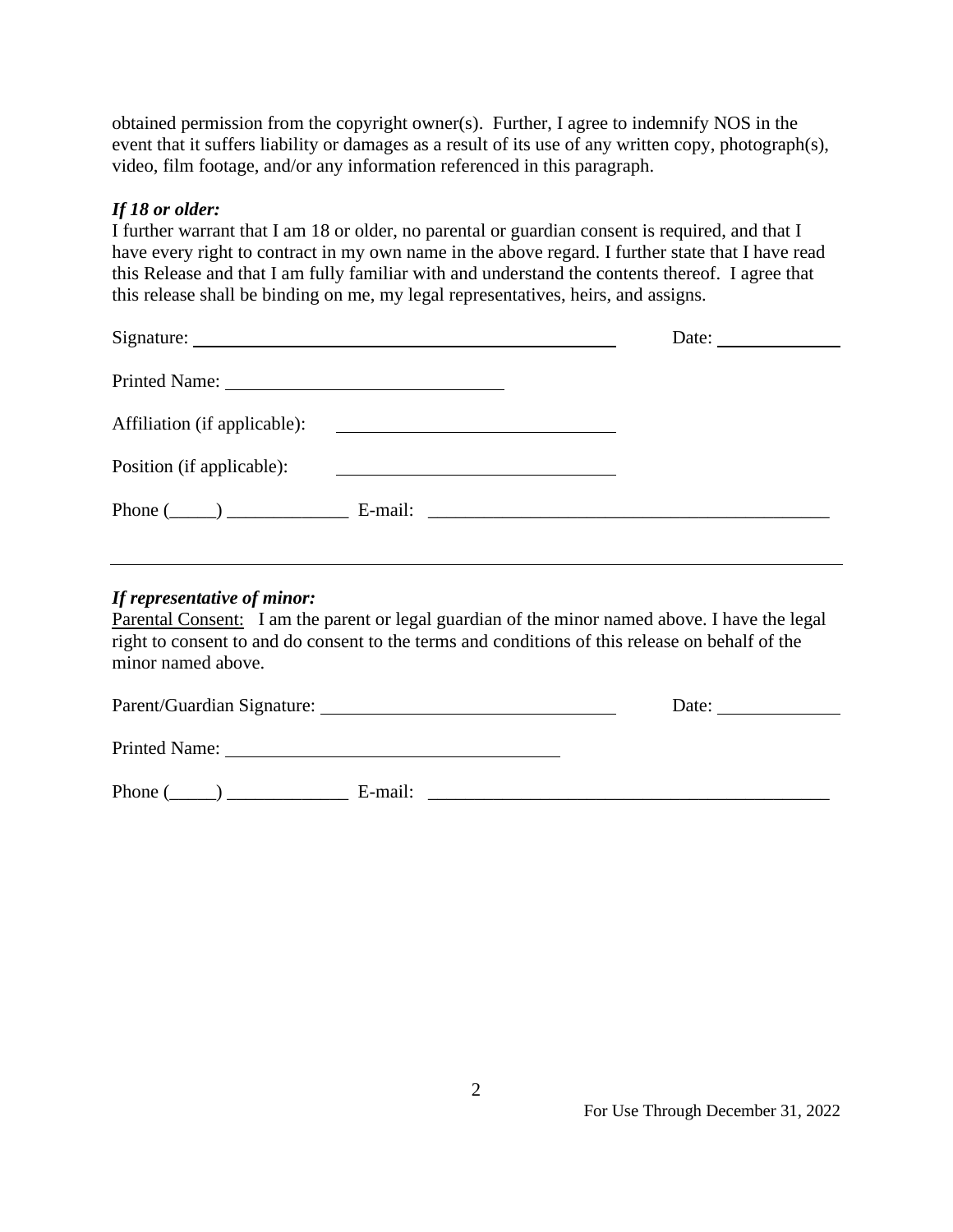obtained permission from the copyright owner(s). Further, I agree to indemnify NOS in the event that it suffers liability or damages as a result of its use of any written copy, photograph(s), video, film footage, and/or any information referenced in this paragraph.

## *If 18 or older:*

I further warrant that I am 18 or older, no parental or guardian consent is required, and that I have every right to contract in my own name in the above regard. I further state that I have read this Release and that I am fully familiar with and understand the contents thereof. I agree that this release shall be binding on me, my legal representatives, heirs, and assigns.

|                                      |                                                                                                                         | Date: $\frac{1}{\sqrt{1-\frac{1}{2}} \cdot \frac{1}{2}}$ |
|--------------------------------------|-------------------------------------------------------------------------------------------------------------------------|----------------------------------------------------------|
|                                      |                                                                                                                         |                                                          |
| Affiliation (if applicable):         | <u> 1980 - Andrea Albert III, politik a postal de la provincia de la provincia de la provincia de la provincia de l</u> |                                                          |
| Position (if applicable):            | <u> 1980 - Andrea Station Barbara, amerikan per</u>                                                                     |                                                          |
| Phone $(\_\_)$ $\_\_$ E-mail: $\_\_$ |                                                                                                                         |                                                          |

## *If representative of minor:*

Parental Consent: I am the parent or legal guardian of the minor named above. I have the legal right to consent to and do consent to the terms and conditions of this release on behalf of the minor named above.

| Parent/Guardian Signature: |         | Date: |
|----------------------------|---------|-------|
| <b>Printed Name:</b>       |         |       |
| Phone (                    | E-mail: |       |